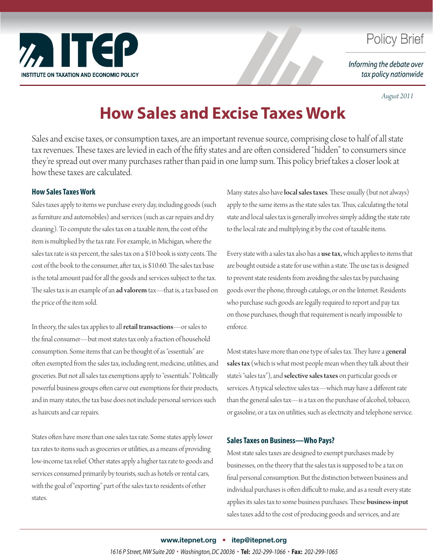

## **Policy Brief**

Informing the debate over tax policy nationwide

*August 2011*

# **How Sales and Excise Taxes Work**

Sales and excise taxes, or consumption taxes, are an important revenue source, comprising close to half of all state tax revenues. These taxes are levied in each of the fifty states and are often considered "hidden" to consumers since they're spread out over many purchases rather than paid in one lump sum. This policy brief takes a closer look at how these taxes are calculated.

#### **How Sales Taxes Work**

Sales taxes apply to items we purchase every day, including goods (such as furniture and automobiles) and services (such as car repairs and dry cleaning). To compute the sales tax on a taxable item, the cost of the item is multiplied by the tax rate. For example, in Michigan, where the sales tax rate is six percent, the sales tax on a \$10 book is sixty cents. The cost of the book to the consumer, after tax, is \$10.60. The sales tax base is the total amount paid for all the goods and services subject to the tax. The sales tax is an example of an ad valorem tax-that is, a tax based on the price of the item sold.

In theory, the sales tax applies to all retail transactions—or sales to the final consumer—but most states tax only a fraction of household consumption. Some items that can be thought of as "essentials" are often exempted from the sales tax, including rent, medicine, utilities, and groceries. But not all sales tax exemptions apply to "essentials." Politically powerful business groups often carve out exemptions for their products, and in many states, the tax base does not include personal services such as haircuts and car repairs.

States often have more than one sales tax rate. Some states apply lower tax rates to items such as groceries or utilities, as a means of providing low-income tax relief. Other states apply a higher tax rate to goods and services consumed primarily by tourists, such as hotels or rental cars, with the goal of "exporting" part of the sales tax to residents of other states.

Many states also have **local sales taxes**. These usually (but not always) apply to the same items as the state sales tax. Thus, calculating the total state and local sales tax is generally involves simply adding the state rate to the local rate and multiplying it by the cost of taxable items.

Every state with a sales tax also has a use tax, which applies to items that are bought outside a state for use within a state. The use tax is designed to prevent state residents from avoiding the sales tax by purchasing goods over the phone, through catalogs, or on the Internet. Residents who purchase such goods are legally required to report and pay tax on those purchases, though that requirement is nearly impossible to enforce.

Most states have more than one type of sales tax. They have a general sales tax (which is what most people mean when they talk about their state's "sales tax"), and selective sales taxes on particular goods or services. A typical selective sales tax—which may have a different rate than the general sales tax—is a tax on the purchase of alcohol, tobacco, or gasoline, or a tax on utilities, such as electricity and telephone service.

#### **Sales Taxes on Business—Who Pays?**

Most state sales taxes are designed to exempt purchases made by businesses, on the theory that the sales tax is supposed to be a tax on final personal consumption. But the distinction between business and individual purchases is often difficult to make, and as a result every state applies its sales tax to some business purchases. These business-input sales taxes add to the cost of producing goods and services, and are